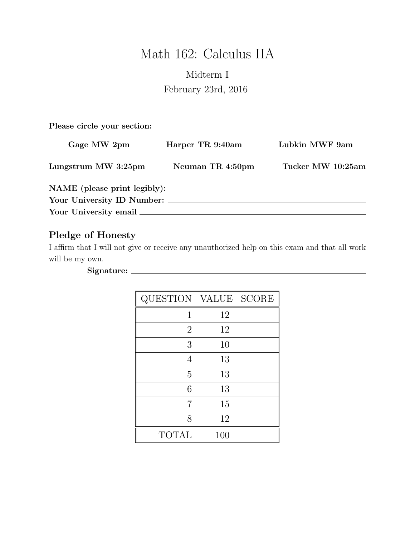# Math 162: Calculus IIA

# Midterm I February 23rd, 2016

Please circle your section:

| Gage MW 2pm                | Harper TR 9:40am | Lubkin MWF 9am    |
|----------------------------|------------------|-------------------|
| Lungstrum MW 3:25pm        | Neuman TR 4:50pm | Tucker MW 10:25am |
|                            |                  |                   |
| Your University ID Number: |                  |                   |
|                            |                  |                   |

## Pledge of Honesty

I affirm that I will not give or receive any unauthorized help on this exam and that all work will be my own.

#### Signature:

| QUESTION       | <b>VALUE</b> | <b>SCORE</b> |
|----------------|--------------|--------------|
| 1              | 12           |              |
| $\overline{2}$ | 12           |              |
| 3              | 10           |              |
| 4              | 13           |              |
| $\overline{5}$ | 13           |              |
| 6              | 13           |              |
| 7              | 15           |              |
| 8              | 12           |              |
| <b>TOTAL</b>   | 100          |              |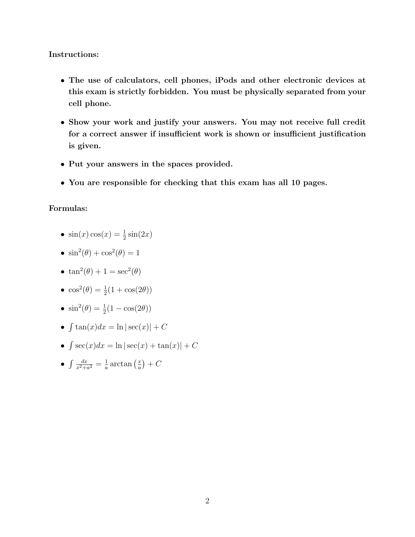#### Instructions:

- The use of calculators, cell phones, iPods and other electronic devices at this exam is strictly forbidden. You must be physically separated from your cell phone.
- Show your work and justify your answers. You may not receive full credit for a correct answer if insufficient work is shown or insufficient justification is given.
- Put your answers in the spaces provided.
- You are responsible for checking that this exam has all 10 pages.

#### Formulas:

- $\sin(x)\cos(x) = \frac{1}{2}\sin(2x)$
- $\sin^2(\theta) + \cos^2(\theta) = 1$
- $\tan^2(\theta) + 1 = \sec^2(\theta)$
- $\cos^2(\theta) = \frac{1}{2}(1 + \cos(2\theta))$
- $\sin^2(\theta) = \frac{1}{2}(1 \cos(2\theta))$
- $\int \tan(x)dx = \ln|\sec(x)| + C$
- $\int \sec(x)dx = \ln|\sec(x) + \tan(x)| + C$
- $\bullet$   $\int \frac{dx}{x^2+4}$  $\frac{dx}{x^2+a^2}=\frac{1}{a}$  $\frac{1}{a} \arctan\left(\frac{x}{a}\right)$  $\left(\frac{x}{a}\right) + C$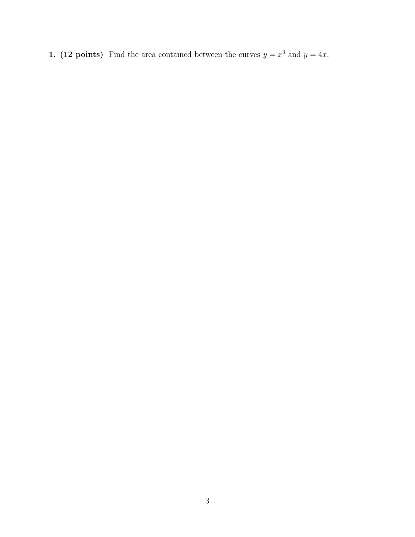1. (12 points) Find the area contained between the curves  $y = x^3$  and  $y = 4x$ .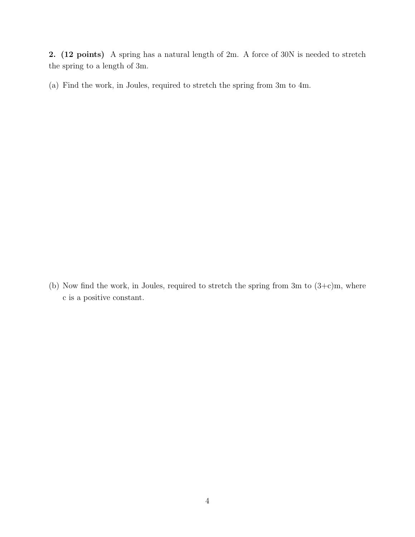2. (12 points) A spring has a natural length of 2m. A force of 30N is needed to stretch the spring to a length of 3m.

(a) Find the work, in Joules, required to stretch the spring from 3m to 4m.

(b) Now find the work, in Joules, required to stretch the spring from 3m to  $(3+c)m$ , where c is a positive constant.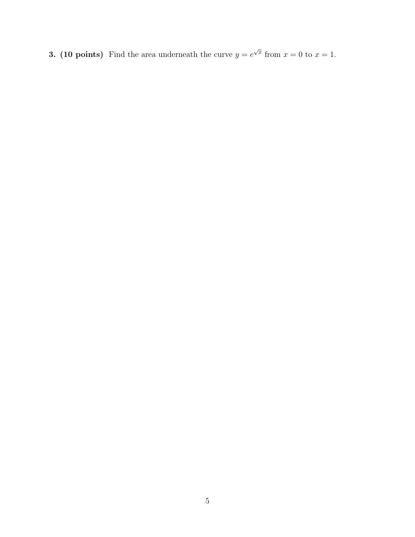**3. (10 points)** Find the area underneath the curve  $y = e^{\sqrt{x}}$  from  $x = 0$  to  $x = 1$ .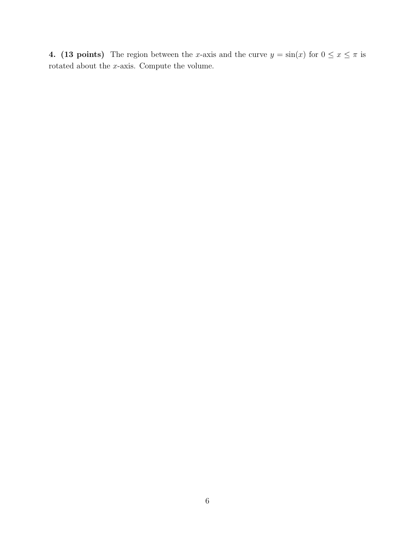4. (13 points) The region between the x-axis and the curve  $y = sin(x)$  for  $0 \le x \le \pi$  is rotated about the  $x\textrm{-axis.}$  Compute the volume.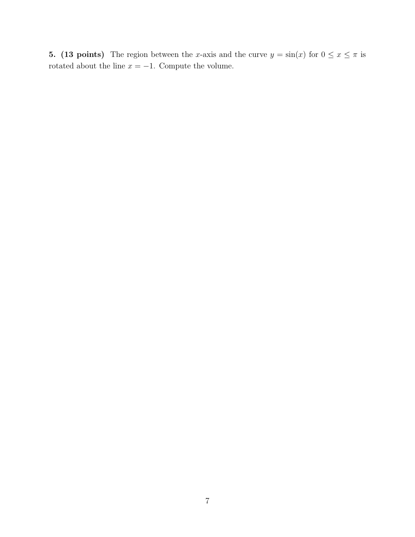5. (13 points) The region between the x-axis and the curve  $y = \sin(x)$  for  $0 \le x \le \pi$  is rotated about the line  $x = -1$ . Compute the volume.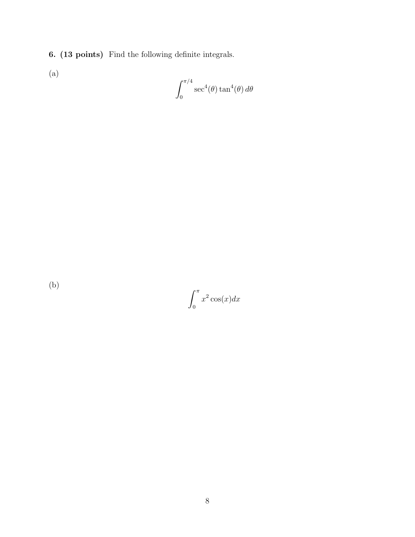6. (13 points) Find the following definite integrals.

(a)

$$
\int_0^{\pi/4} \sec^4(\theta) \tan^4(\theta) d\theta
$$

(b)

 $\int_0^\pi$ 0  $x^2 \cos(x) dx$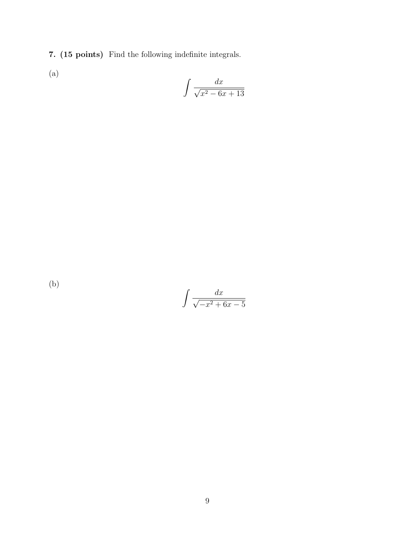7. (15 points) Find the following indefinite integrals.

(a)

$$
\int \frac{dx}{\sqrt{x^2 - 6x + 13}}
$$

(b)

$$
\int \frac{dx}{\sqrt{-x^2 + 6x - 5}}
$$